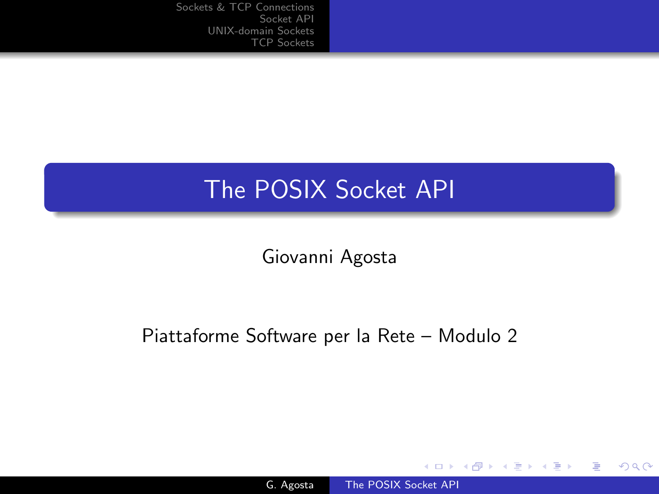## The POSIX Socket API

Giovanni Agosta

#### Piattaforme Software per la Rete – Modulo 2

4 0 8

**K 伺 ▶ → 手** 

 $299$ 

<span id="page-0-0"></span>э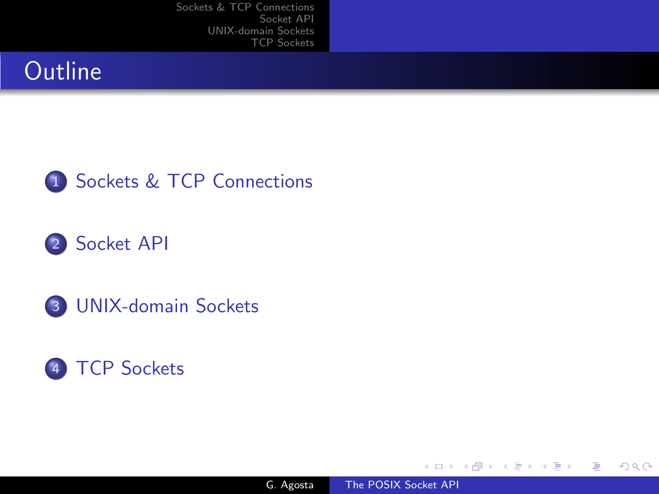## **Outline**



## 2 [Socket API](#page-6-0)

3 [UNIX-domain Sockets](#page-15-0)



4日)

一本語

 $\sim$ 

a **State**  ∍

э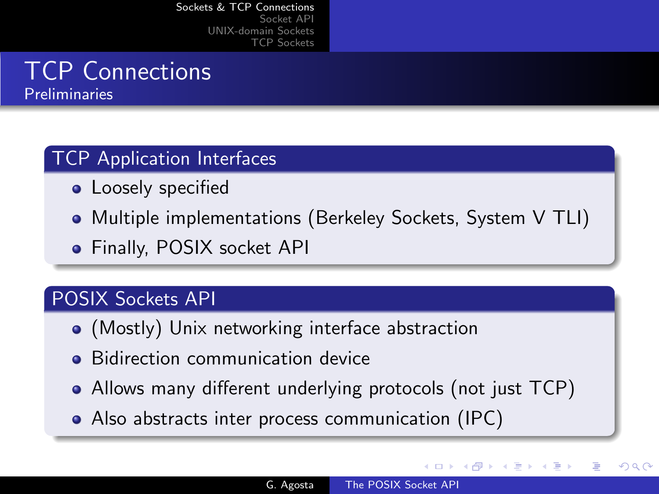# TCP Connections

Preliminaries

### TCP Application Interfaces

- Loosely specified
- Multiple implementations (Berkeley Sockets, System V TLI)
- **•** Finally, POSIX socket API

#### POSIX Sockets API

- (Mostly) Unix networking interface abstraction
- **•** Bidirection communication device
- Allows many different underlying protocols (not just TCP)
- <span id="page-2-0"></span>Also abstracts inter process communication (IPC)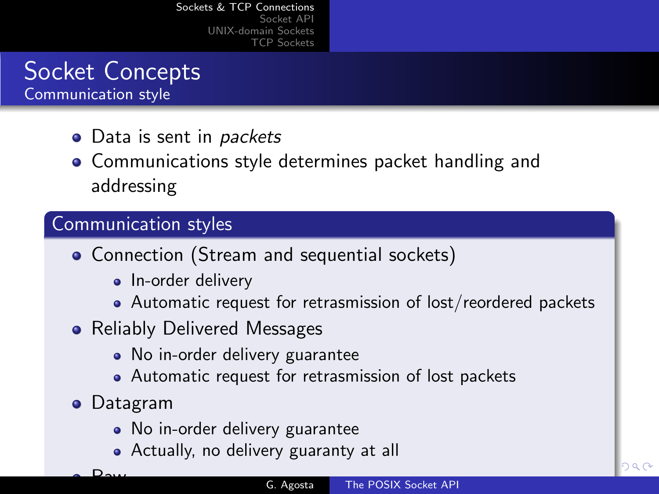## Socket Concepts Communication style

- Data is sent in *packets*
- **Communications style determines packet handling and** addressing

### Communication styles

- Connection (Stream and sequential sockets)
	- In-order delivery
	- Automatic request for retrasmission of lost/reordered packets
- Reliably Delivered Messages
	- No in-order delivery guarantee
	- Automatic request for retrasmission of lost packets
- Datagram

 $D_{\text{max}}$ 

- No in-order delivery guarantee
- Actually, no delivery guaranty at all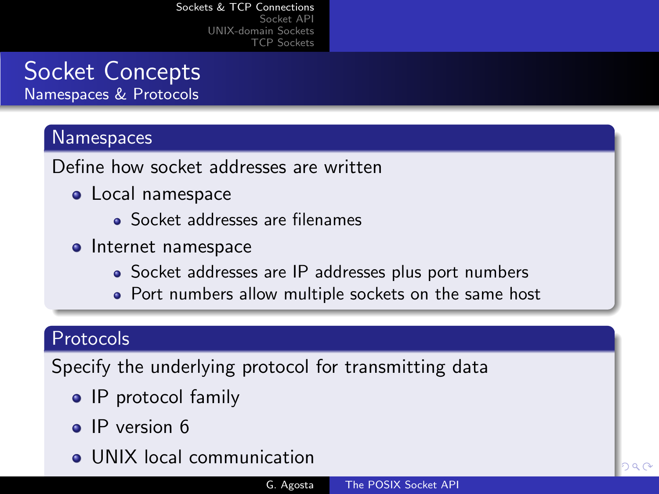## Socket Concepts Namespaces & Protocols

#### **Namespaces**

Define how socket addresses are written

- **•** Local namespace
	- Socket addresses are filenames
- Internet namespace
	- Socket addresses are IP addresses plus port numbers
	- Port numbers allow multiple sockets on the same host

#### Protocols

Specify the underlying protocol for transmitting data

- IP protocol family
- IP version 6
- **.** UNIX local communication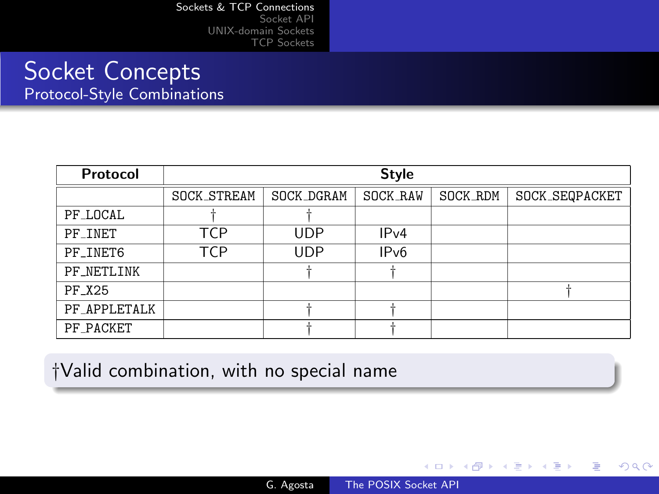### Socket Concepts Protocol-Style Combinations

| Protocol     | <b>Style</b> |            |          |          |                |
|--------------|--------------|------------|----------|----------|----------------|
|              | SOCK_STREAM  | SOCK_DGRAM | SOCK_RAW | SOCK_RDM | SOCK_SEQPACKET |
| PF_LOCAL     |              |            |          |          |                |
| PF INET      | TCP          | <b>UDP</b> | IPv4     |          |                |
| PF_INET6     | TCP          | <b>UDP</b> | IPv6     |          |                |
| PF_NETLINK   |              |            |          |          |                |
| PF_X25       |              |            |          |          |                |
| PF_APPLETALK |              |            |          |          |                |
| PF_PACKET    |              |            |          |          |                |

†Valid combination, with no special name

G. Agosta [The POSIX Socket API](#page-0-0)

4 0 8

→ 冊→

任

 $\sim$ 

∍

 $299$ 

∍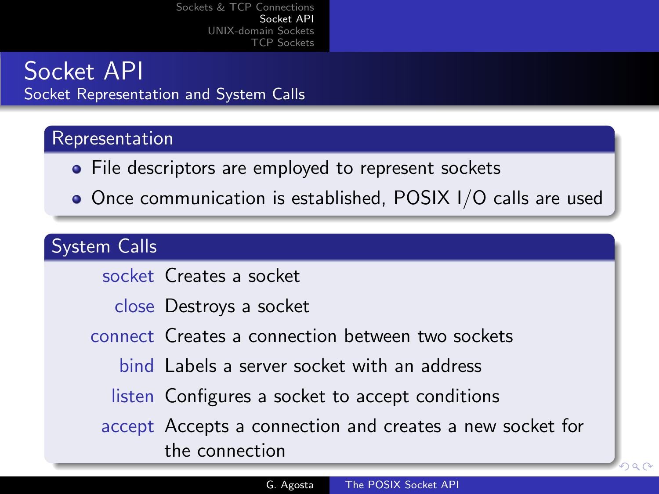## Socket API Socket Representation and System Calls

### Representation

- File descriptors are employed to represent sockets
- Once communication is established, POSIX I/O calls are used

#### System Calls

socket Creates a socket

close Destroys a socket

connect Creates a connection between two sockets

<span id="page-6-0"></span>bind Labels a server socket with an address

listen Configures a socket to accept conditions

accept Accepts a connection and creates a new socket for the connection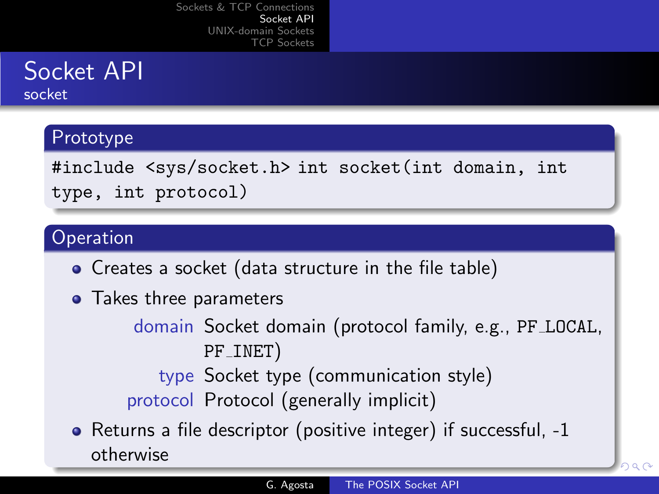# Socket API

socket

#### Prototype

#include <sys/socket.h> int socket(int domain, int type, int protocol)

#### Operation

- Creates a socket (data structure in the file table)
- Takes three parameters

domain Socket domain (protocol family, e.g., PF LOCAL, PF INET)

type Socket type (communication style) protocol Protocol (generally implicit)

• Returns a file descriptor (positive integer) if successful, -1 otherwise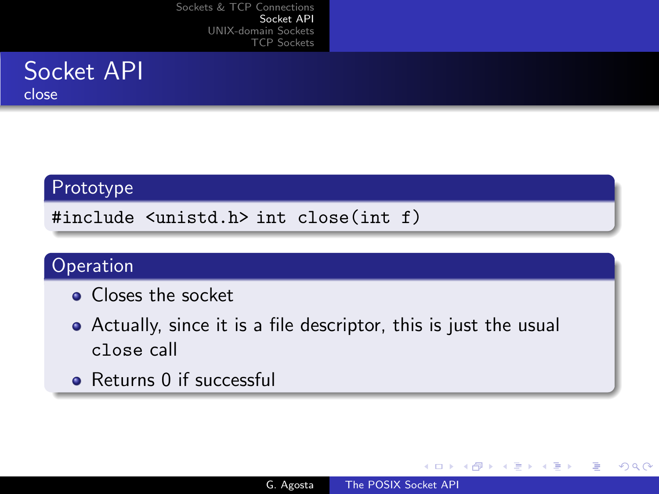

#### Prototype

#include <unistd.h> int close(int f)

#### Operation

- **Q** Closes the socket
- Actually, since it is a file descriptor, this is just the usual close call
- Returns 0 if successful

4 0 8

**K 伺 ▶ → 手**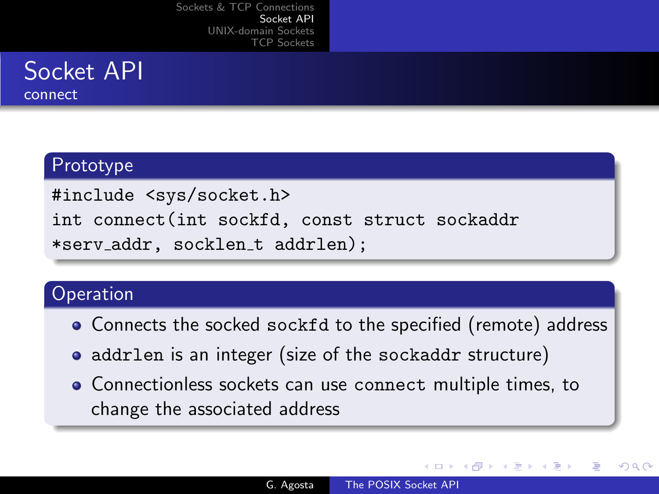

connect

#### Prototype

#include <sys/socket.h> int connect(int sockfd, const struct sockaddr \*serv addr, socklen t addrlen);

#### **Operation**

- Connects the socked sockfd to the specified (remote) address
- addrlen is an integer (size of the sockaddr structure)
- Connectionless sockets can use connect multiple times, to change the associated address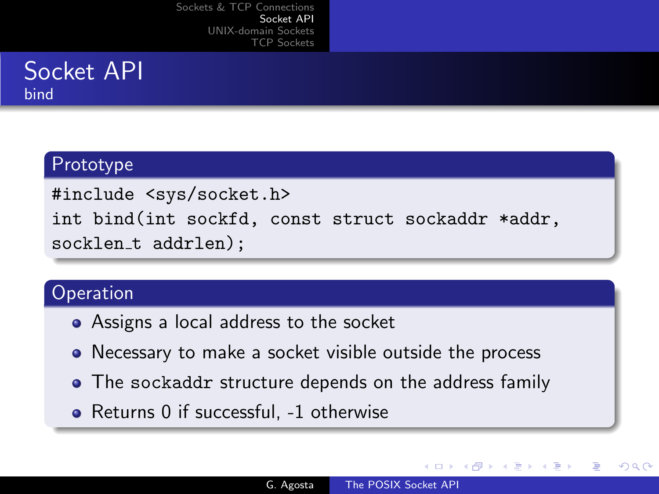## Socket API bind

#### Prototype

#include <sys/socket.h> int bind(int sockfd, const struct sockaddr \*addr, socklen\_t addrlen);

#### **Operation**

- Assigns a local address to the socket
- Necessary to make a socket visible outside the process
- The sockaddr structure depends on the address family
- Returns 0 if successful, -1 otherwise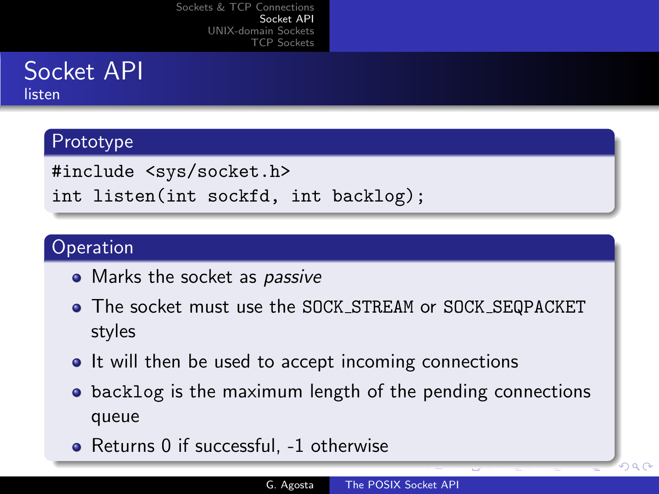# Socket API

listen

#### Prototype

#include <sys/socket.h>

int listen(int sockfd, int backlog);

#### **Operation**

- Marks the socket as *passive*
- The socket must use the SOCK STREAM or SOCK SEQPACKET styles
- It will then be used to accept incoming connections
- **•** backlog is the maximum length of the pending connections queue
- Returns 0 if successful, -1 otherwise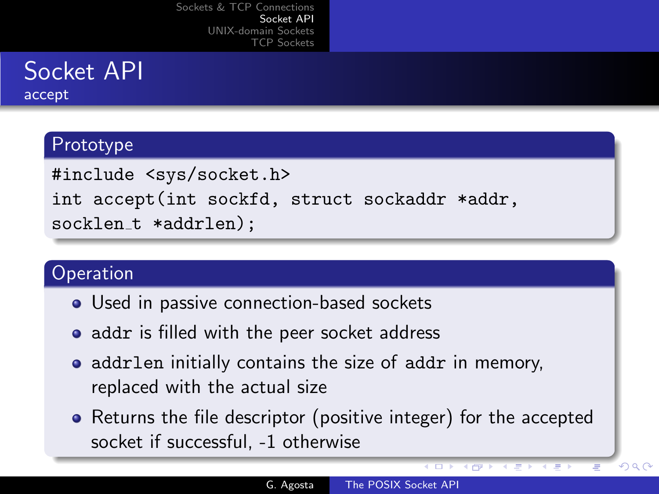## Socket API accept

#### Prototype

#include <sys/socket.h> int accept(int sockfd, struct sockaddr \*addr, socklen\_t \*addrlen);

#### **Operation**

- Used in passive connection-based sockets
- addr is filled with the peer socket address
- addrlen initially contains the size of addr in memory, replaced with the actual size
- Returns the file descriptor (positive integer) for the accepted socket if successful, -1 otherwise

4 mP

 $QQ$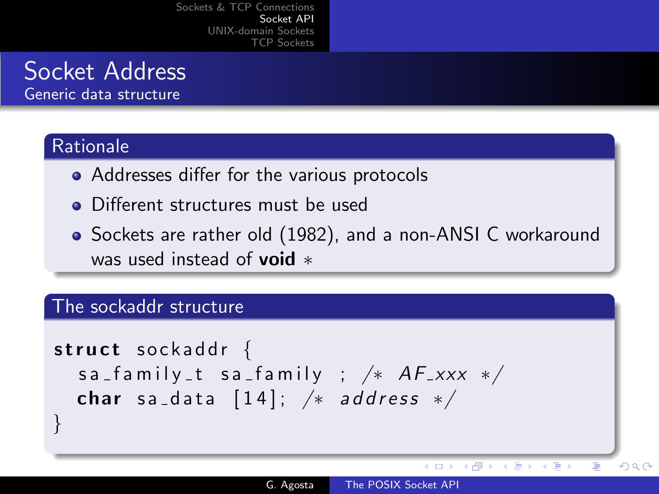## Socket Address

Generic data structure

#### **Rationale**

}

- Addresses differ for the various protocols
- Different structures must be used
- Sockets are rather old (1982), and a non-ANSI C workaround was used instead of **void**  $*$

#### The sockaddr structure

s t r u c t s o c k a d d r { s a f a m i l y t s a f a m i l y ; /∗ AF xxx ∗/ char s a d a t a [ 1 4 ] ; /∗ a d d r e s s ∗/

 $\leftarrow$ 

Þ.

**K 何 ▶ ス ヨ ▶** 

Ŧь

 $QQ$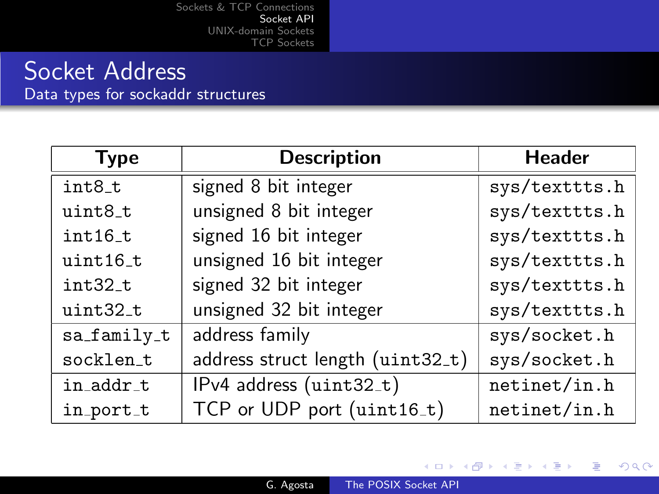## Socket Address

Data types for sockaddr structures

| <b>Type</b> | <b>Description</b>               | <b>Header</b> |  |
|-------------|----------------------------------|---------------|--|
| int8_t      | signed 8 bit integer             | sys/texttts.h |  |
| uint8_t     | unsigned 8 bit integer           | sys/texttts.h |  |
| $int16_t$   | signed 16 bit integer            | sys/texttts.h |  |
| uint16_t    | unsigned 16 bit integer          | sys/texttts.h |  |
| int32_t     | signed 32 bit integer            | sys/texttts.h |  |
| uint32_t    | unsigned 32 bit integer          | sys/texttts.h |  |
| sa_family_t | address family                   | sys/socket.h  |  |
| socklen_t   | address struct length (uint32_t) | sys/socket.h  |  |
| in_addr_t   | IPv4 address (uint32_t)          | netinet/in.h  |  |
| in_port_t   | TCP or UDP port (uint16_t)       | netinet/in.h  |  |

Þ

メロメ メ母メ メミメ メミメ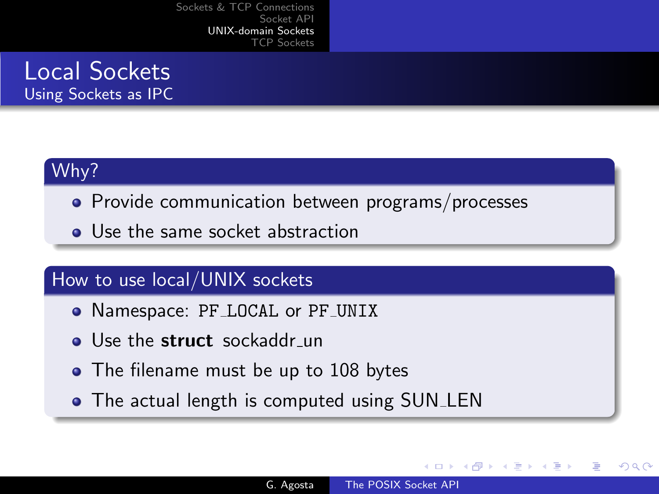Local Sockets Using Sockets as IPC

#### Why?

- Provide communication between programs/processes
- Use the same socket abstraction

#### How to use local/UNIX sockets

- Namespace: PF\_LOCAL or PF\_UNIX
- Use the struct sockaddr un
- The filename must be up to 108 bytes
- <span id="page-15-0"></span>• The actual length is computed using SUN\_LEN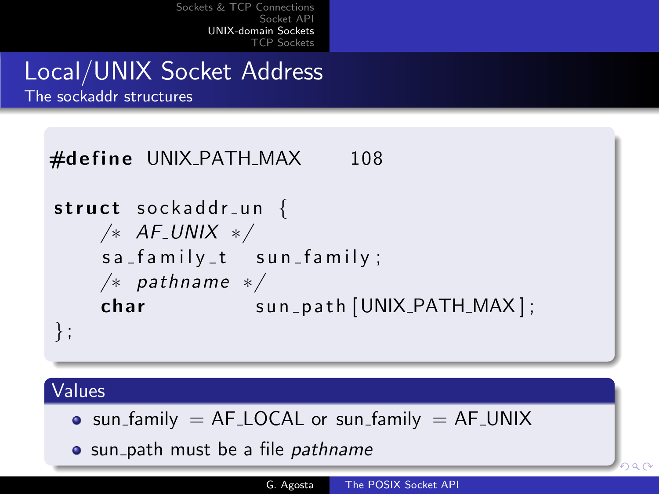## Local/UNIX Socket Address

The sockaddr structures



#### Values

- $\bullet$  sun\_family = AF\_LOCAL or sun\_family = AF\_UNIX
- sun\_path must be a file *pathname*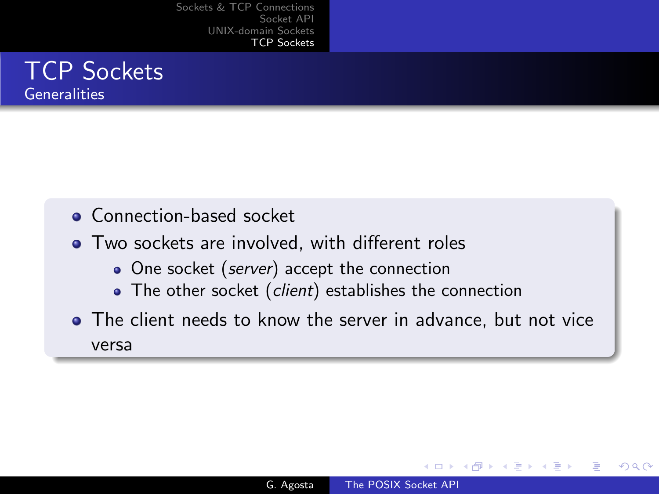#### TCP Sockets **Generalities**

- **Connection-based socket**
- Two sockets are involved, with different roles
	- One socket (server) accept the connection
	- The other socket (client) establishes the connection
- <span id="page-17-0"></span>The client needs to know the server in advance, but not vice versa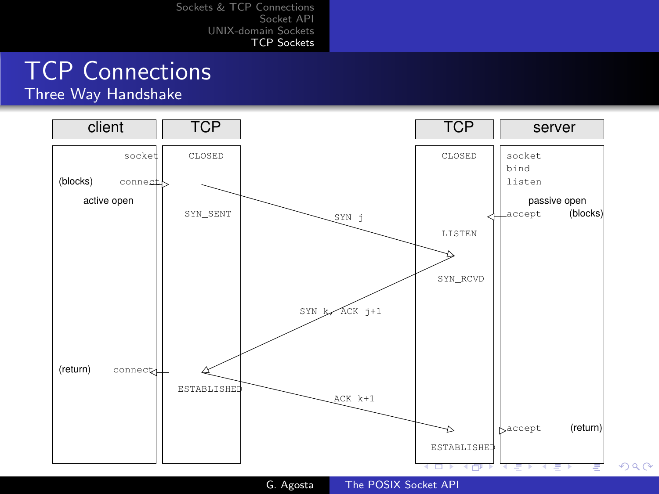# TCP Connections

Three Way Handshake



G. Agosta [The POSIX Socket API](#page-0-0)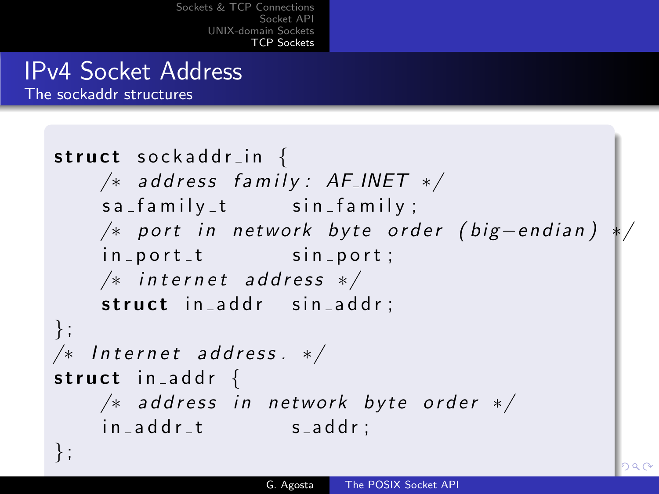[Sockets & TCP Connections](#page-2-0) [Socket API](#page-6-0)  $IINIX<sub>chomain</sub>$ [TCP Sockets](#page-17-0)

## IPv4 Socket Address

The sockaddr structures

```
struct sockaddr_in \{/* address family: AF_INET */sa_f amily_t sin family;
   /∗ port in network byte order (big-endian)
   in\_port\_t sin port;
   /* internet address */struct in addr sin addr;
} ;
/* Internet address. */struct in addr \{/* address in network byte order */in\_addr_t saddr;
} ;
```